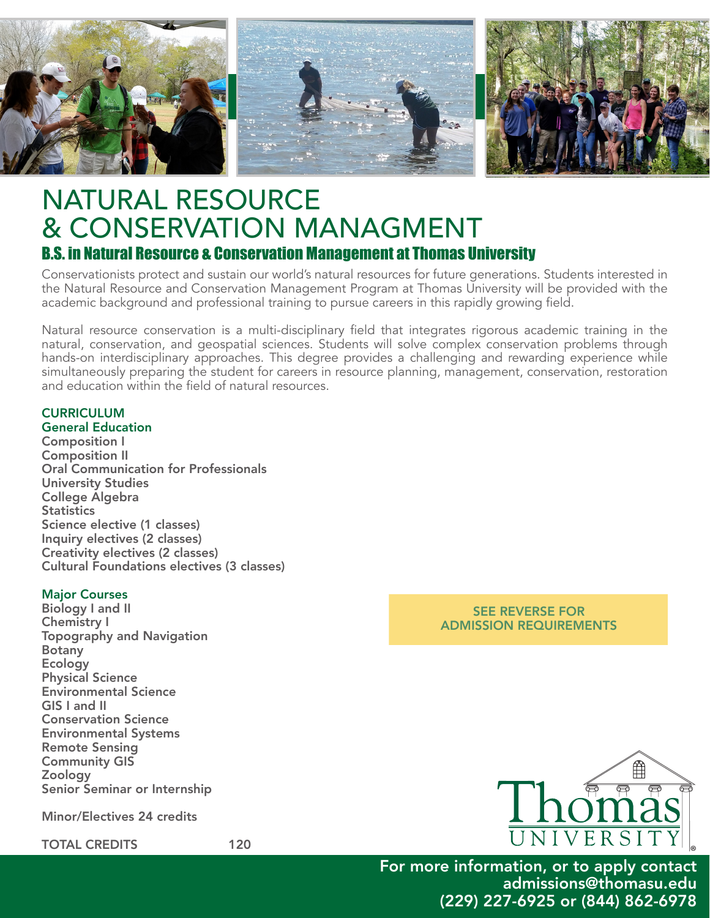

# NATURAL RESOURCE & CONSERVATION MANAGMENT B.S. in Natural Resource & Conservation Management at Thomas University

Conservationists protect and sustain our world's natural resources for future generations. Students interested in the Natural Resource and Conservation Management Program at Thomas University will be provided with the academic background and professional training to pursue careers in this rapidly growing field.

Natural resource conservation is a multi-disciplinary field that integrates rigorous academic training in the natural, conservation, and geospatial sciences. Students will solve complex conservation problems through hands-on interdisciplinary approaches. This degree provides a challenging and rewarding experience while simultaneously preparing the student for careers in resource planning, management, conservation, restoration and education within the field of natural resources.

## **CURRICULUM**

General Education Composition I Composition II Oral Communication for Professionals University Studies College Algebra **Statistics** Science elective (1 classes) Inquiry electives (2 classes) Creativity electives (2 classes) Cultural Foundations electives (3 classes)

#### Major Courses

Biology I and II Chemistry I Topography and Navigation Botany Ecology Physical Science Environmental Science GIS I and II Conservation Science Environmental Systems Remote Sensing Community GIS Zoology Senior Seminar or Internship

Minor/Electives 24 credits

TOTAL CREDITS 120

#### SEE REVERSE FOR ADMISSION REQUIREMENTS



For more information, or to apply contact admissions@thomasu.edu (229) 227-6925 or (844) 862-6978